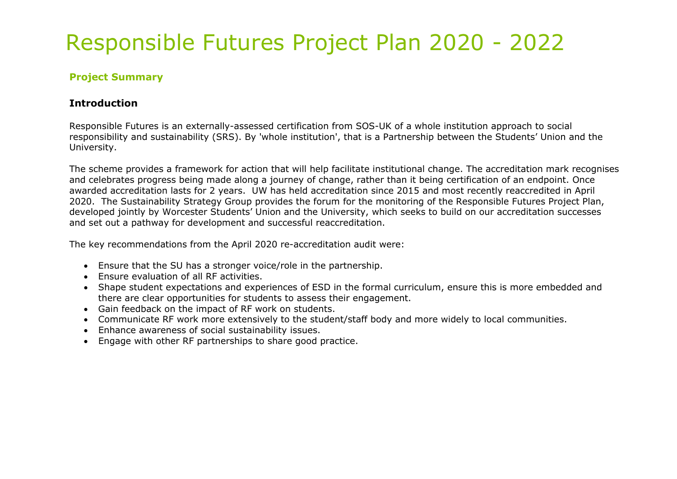#### **Project Summary**

#### **Introduction**

Responsible Futures is an externally-assessed certification from SOS-UK of a whole institution approach to social responsibility and sustainability (SRS). By 'whole institution', that is a Partnership between the Students' Union and the University.

The scheme provides a framework for action that will help facilitate institutional change. The accreditation mark recognises and celebrates progress being made along a journey of change, rather than it being certification of an endpoint. Once awarded accreditation lasts for 2 years. UW has held accreditation since 2015 and most recently reaccredited in April 2020. The Sustainability Strategy Group provides the forum for the monitoring of the Responsible Futures Proiect Plan. developed jointly by Worcester Students' Union and the University, which seeks to build on our accreditation successes and set out a pathway for development and successful reaccreditation.

The key recommendations from the April 2020 re-accreditation audit were:

- Ensure that the SU has a stronger voice/role in the partnership.
- Ensure evaluation of all RF activities.
- Shape student expectations and experiences of ESD in the formal curriculum, ensure this is more embedded and there are clear opportunities for students to assess their engagement.
- Gain feedback on the impact of RF work on students.
- Communicate RF work more extensively to the student/staff body and more widely to local communities.
- Enhance awareness of social sustainability issues.
- Engage with other RF partnerships to share good practice.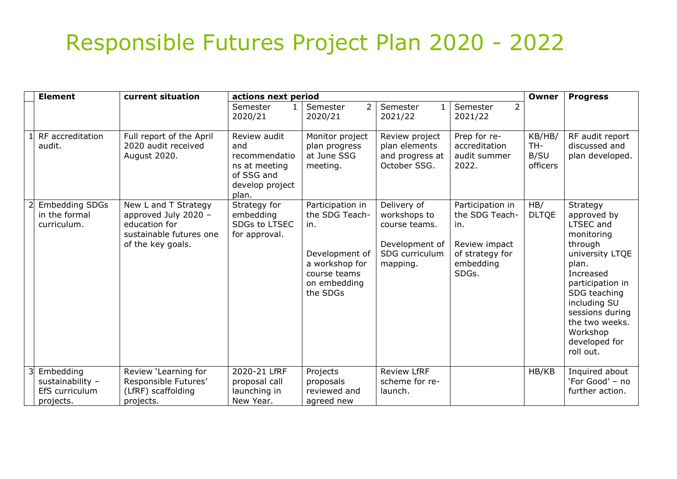| <b>Element</b>                                               | current situation                                                                                             | actions next period                                                                             |                                                                                                                           |                                                                                              |                                                                                                     | Owner                             | <b>Progress</b>                                                                                                                                                                                                                                  |
|--------------------------------------------------------------|---------------------------------------------------------------------------------------------------------------|-------------------------------------------------------------------------------------------------|---------------------------------------------------------------------------------------------------------------------------|----------------------------------------------------------------------------------------------|-----------------------------------------------------------------------------------------------------|-----------------------------------|--------------------------------------------------------------------------------------------------------------------------------------------------------------------------------------------------------------------------------------------------|
|                                                              |                                                                                                               | Semester<br>2020/21                                                                             | Semester<br>2<br>2020/21                                                                                                  | Semester<br>2021/22                                                                          | $\overline{2}$<br>Semester<br>2021/22                                                               |                                   |                                                                                                                                                                                                                                                  |
| RF accreditation<br>audit.                                   | Full report of the April<br>2020 audit received<br>August 2020.                                               | Review audit<br>and<br>recommendatio<br>ns at meeting<br>of SSG and<br>develop project<br>plan. | Monitor project<br>plan progress<br>at June SSG<br>meeting.                                                               | Review project<br>plan elements<br>and progress at<br>October SSG.                           | Prep for re-<br>accreditation<br>audit summer<br>2022.                                              | KB/HB/<br>TH-<br>B/SU<br>officers | RF audit report<br>discussed and<br>plan developed.                                                                                                                                                                                              |
| <b>Embedding SDGs</b><br>in the formal<br>curriculum.        | New L and T Strategy<br>approved July 2020 -<br>education for<br>sustainable futures one<br>of the key goals. | Strategy for<br>embedding<br>SDGs to LTSEC<br>for approval.                                     | Participation in<br>the SDG Teach-<br>in.<br>Development of<br>a workshop for<br>course teams<br>on embedding<br>the SDGs | Delivery of<br>workshops to<br>course teams.<br>Development of<br>SDG curriculum<br>mapping. | Participation in<br>the SDG Teach-<br>in.<br>Review impact<br>of strategy for<br>embedding<br>SDGs. | HB/<br><b>DLTQE</b>               | Strategy<br>approved by<br><b>LTSEC</b> and<br>monitoring<br>through<br>university LTQE<br>plan.<br>Increased<br>participation in<br>SDG teaching<br>including SU<br>sessions during<br>the two weeks.<br>Workshop<br>developed for<br>roll out. |
| Embedding<br>sustainability -<br>EfS curriculum<br>projects. | Review 'Learning for<br>Responsible Futures'<br>(LfRF) scaffolding<br>projects.                               | 2020-21 LfRF<br>proposal call<br>launching in<br>New Year.                                      | Projects<br>proposals<br>reviewed and<br>agreed new                                                                       | <b>Review LfRF</b><br>scheme for re-<br>launch.                                              |                                                                                                     | HB/KB                             | Inquired about<br>'For Good' - no<br>further action.                                                                                                                                                                                             |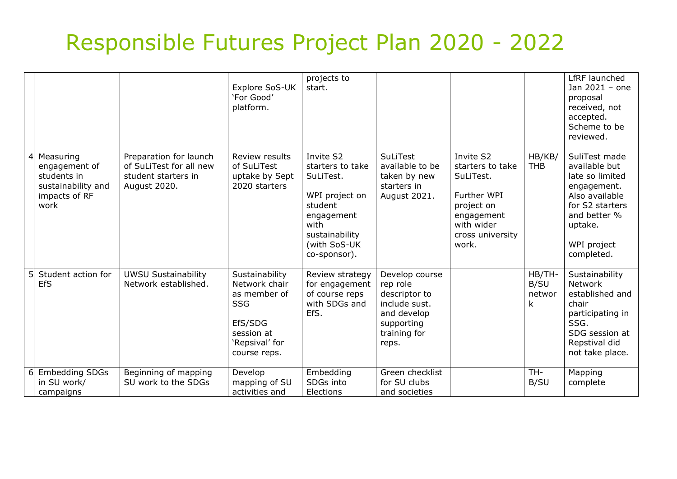|   |                                                                                          |                                                                                          | Explore SoS-UK<br>'For Good'<br>platform.                                                                                | projects to<br>start.                                                                                                                            |                                                                                                                    |                                                                                                                                  |                               | LfRF launched<br>Jan 2021 - one<br>proposal<br>received, not<br>accepted.<br>Scheme to be<br>reviewed.                                                        |
|---|------------------------------------------------------------------------------------------|------------------------------------------------------------------------------------------|--------------------------------------------------------------------------------------------------------------------------|--------------------------------------------------------------------------------------------------------------------------------------------------|--------------------------------------------------------------------------------------------------------------------|----------------------------------------------------------------------------------------------------------------------------------|-------------------------------|---------------------------------------------------------------------------------------------------------------------------------------------------------------|
| 4 | Measuring<br>engagement of<br>students in<br>sustainability and<br>impacts of RF<br>work | Preparation for launch<br>of SuLiTest for all new<br>student starters in<br>August 2020. | Review results<br>of SuLiTest<br>uptake by Sept<br>2020 starters                                                         | Invite S2<br>starters to take<br>SuLiTest.<br>WPI project on<br>student<br>engagement<br>with<br>sustainability<br>(with SoS-UK)<br>co-sponsor). | <b>SuLiTest</b><br>available to be<br>taken by new<br>starters in<br>August 2021.                                  | Invite S2<br>starters to take<br>SuLiTest.<br>Further WPI<br>project on<br>engagement<br>with wider<br>cross university<br>work. | HB/KB/<br><b>THB</b>          | SuliTest made<br>available but<br>late so limited<br>engagement.<br>Also available<br>for S2 starters<br>and better %<br>uptake.<br>WPI project<br>completed. |
|   | Student action for<br>EfS                                                                | <b>UWSU Sustainability</b><br>Network established.                                       | Sustainability<br>Network chair<br>as member of<br><b>SSG</b><br>EfS/SDG<br>session at<br>'Repsival' for<br>course reps. | Review strategy<br>for engagement<br>of course reps<br>with SDGs and<br>EfS.                                                                     | Develop course<br>rep role<br>descriptor to<br>include sust.<br>and develop<br>supporting<br>training for<br>reps. |                                                                                                                                  | HB/TH-<br>B/SU<br>networ<br>k | Sustainability<br><b>Network</b><br>established and<br>chair<br>participating in<br>SSG.<br>SDG session at<br>Repstival did<br>not take place.                |
| 6 | <b>Embedding SDGs</b><br>in SU work/<br>campaigns                                        | Beginning of mapping<br>SU work to the SDGs                                              | Develop<br>mapping of SU<br>activities and                                                                               | Embedding<br>SDGs into<br><b>Elections</b>                                                                                                       | Green checklist<br>for SU clubs<br>and societies                                                                   |                                                                                                                                  | TH-<br>B/SU                   | Mapping<br>complete                                                                                                                                           |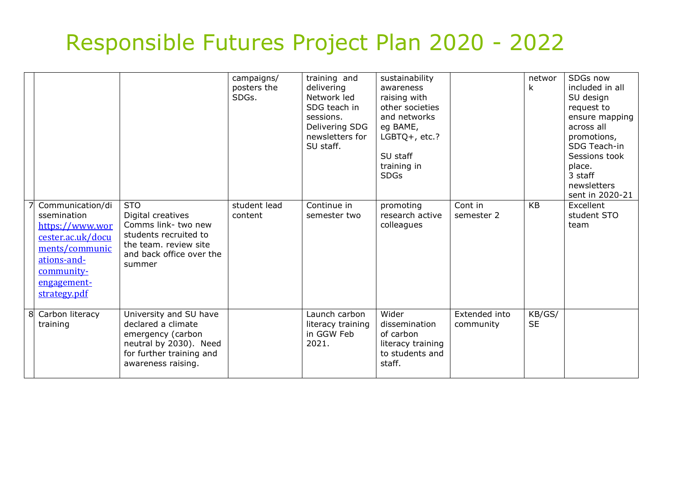|                                                                                                                                                       |                                                                                                                                               | campaigns/<br>posters the<br>SDGs. | training and<br>delivering<br>Network led<br>SDG teach in<br>sessions.<br>Delivering SDG<br>newsletters for<br>SU staff. | sustainability<br>awareness<br>raising with<br>other societies<br>and networks<br>eg BAME,<br>LGBTQ+, etc.?<br>SU staff<br>training in<br><b>SDGs</b> |                            | networ<br>k         | SDGs now<br>included in all<br>SU design<br>request to<br>ensure mapping<br>across all<br>promotions,<br>SDG Teach-in<br>Sessions took<br>place.<br>3 staff<br>newsletters<br>sent in 2020-21 |
|-------------------------------------------------------------------------------------------------------------------------------------------------------|-----------------------------------------------------------------------------------------------------------------------------------------------|------------------------------------|--------------------------------------------------------------------------------------------------------------------------|-------------------------------------------------------------------------------------------------------------------------------------------------------|----------------------------|---------------------|-----------------------------------------------------------------------------------------------------------------------------------------------------------------------------------------------|
| Communication/di<br>ssemination<br>https://www.wor<br>cester.ac.uk/docu<br>ments/communic<br>ations-and-<br>community-<br>engagement-<br>strategy.pdf | <b>STO</b><br>Digital creatives<br>Comms link-two new<br>students recruited to<br>the team. review site<br>and back office over the<br>summer | student lead<br>content            | Continue in<br>semester two                                                                                              | promoting<br>research active<br>colleagues                                                                                                            | Cont in<br>semester 2      | KB                  | Excellent<br>student STO<br>team                                                                                                                                                              |
| 8 Carbon literacy<br>training                                                                                                                         | University and SU have<br>declared a climate<br>emergency (carbon<br>neutral by 2030). Need<br>for further training and<br>awareness raising. |                                    | Launch carbon<br>literacy training<br>in GGW Feb<br>2021.                                                                | Wider<br>dissemination<br>of carbon<br>literacy training<br>to students and<br>staff.                                                                 | Extended into<br>community | KB/GS/<br><b>SE</b> |                                                                                                                                                                                               |